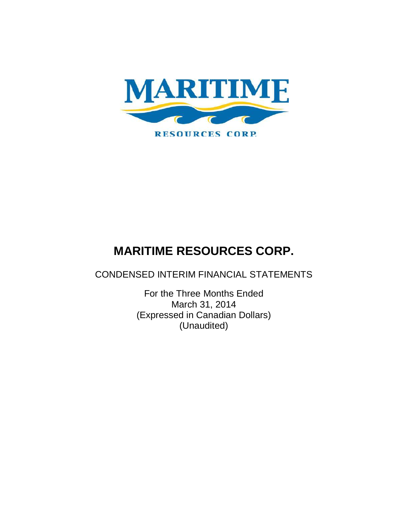

CONDENSED INTERIM FINANCIAL STATEMENTS

For the Three Months Ended March 31, 2014 (Expressed in Canadian Dollars) (Unaudited)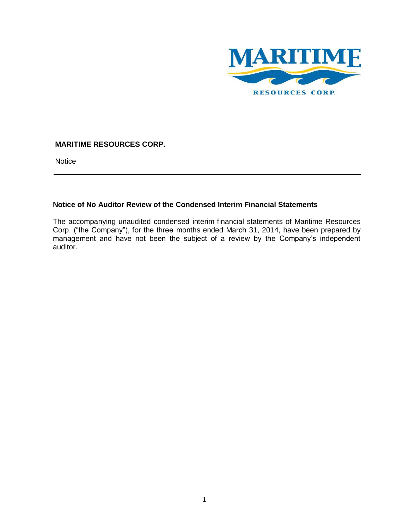

**Notice** 

## **Notice of No Auditor Review of the Condensed Interim Financial Statements**

The accompanying unaudited condensed interim financial statements of Maritime Resources Corp. ("the Company"), for the three months ended March 31, 2014, have been prepared by management and have not been the subject of a review by the Company's independent auditor.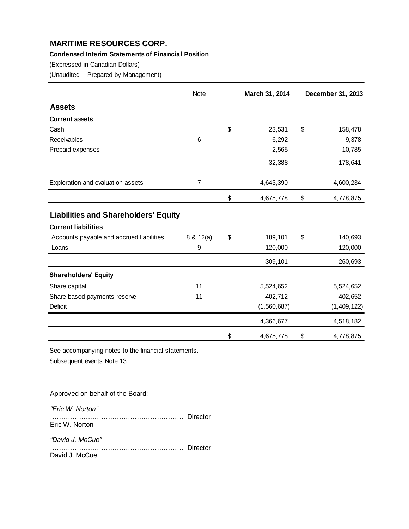# **Condensed Interim Statements of Financial Position**

(Expressed in Canadian Dollars)

(Unaudited -- Prepared by Management)

|                                             | Note      | March 31, 2014  | December 31, 2013 |
|---------------------------------------------|-----------|-----------------|-------------------|
| <b>Assets</b>                               |           |                 |                   |
| <b>Current assets</b>                       |           |                 |                   |
| Cash                                        |           | \$<br>23,531    | \$<br>158,478     |
| Receivables                                 | 6         | 6,292           | 9,378             |
| Prepaid expenses                            |           | 2,565           | 10,785            |
|                                             |           | 32,388          | 178,641           |
| Exploration and evaluation assets           | 7         | 4,643,390       | 4,600,234         |
|                                             |           | \$<br>4,675,778 | \$<br>4,778,875   |
| <b>Liabilities and Shareholders' Equity</b> |           |                 |                   |
| <b>Current liabilities</b>                  |           |                 |                   |
| Accounts payable and accrued liabilities    | 8 & 12(a) | \$<br>189,101   | \$<br>140,693     |
| Loans                                       | 9         | 120,000         | 120,000           |
|                                             |           | 309,101         | 260,693           |
| <b>Shareholders' Equity</b>                 |           |                 |                   |
| Share capital                               | 11        | 5,524,652       | 5,524,652         |
| Share-based payments reserve                | 11        | 402,712         | 402,652           |
| Deficit                                     |           | (1,560,687)     | (1,409,122)       |
|                                             |           | 4,366,677       | 4,518,182         |
|                                             |           | \$<br>4,675,778 | \$<br>4,778,875   |

See accompanying notes to the financial statements.

Subsequent events Note 13

Approved on behalf of the Board:

*"Eric W. Norton"* …………………………………………………… Director Eric W. Norton

*"David J. McCue"*

…………………………………………………… Director David J. McCue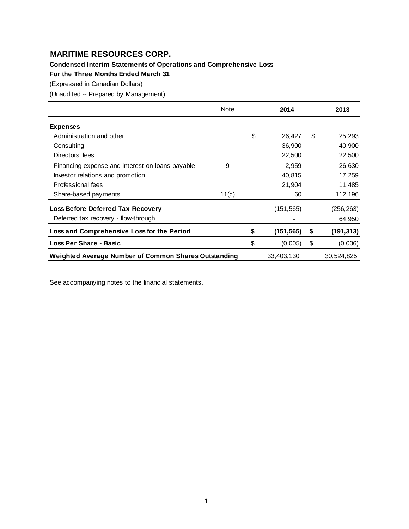**Condensed Interim Statements of Operations and Comprehensive Loss**

**For the Three Months Ended March 31**

(Expressed in Canadian Dollars)

(Unaudited -- Prepared by Management)

|                                                      | Note  | 2014             | 2013             |
|------------------------------------------------------|-------|------------------|------------------|
| <b>Expenses</b>                                      |       |                  |                  |
| Administration and other                             |       | \$<br>26,427     | \$<br>25,293     |
| Consulting                                           |       | 36,900           | 40,900           |
| Directors' fees                                      |       | 22,500           | 22,500           |
| Financing expense and interest on loans payable      | 9     | 2,959            | 26,630           |
| Investor relations and promotion                     |       | 40,815           | 17,259           |
| Professional fees                                    |       | 21,904           | 11,485           |
| Share-based payments                                 | 11(c) | 60               | 112,196          |
| <b>Loss Before Deferred Tax Recovery</b>             |       | (151, 565)       | (256, 263)       |
| Deferred tax recovery - flow-through                 |       |                  | 64,950           |
| Loss and Comprehensive Loss for the Period           |       | \$<br>(151, 565) | \$<br>(191, 313) |
| <b>Loss Per Share - Basic</b>                        |       | \$<br>(0.005)    | \$<br>(0.006)    |
| Weighted Average Number of Common Shares Outstanding |       | 33,403,130       | 30,524,825       |

See accompanying notes to the financial statements.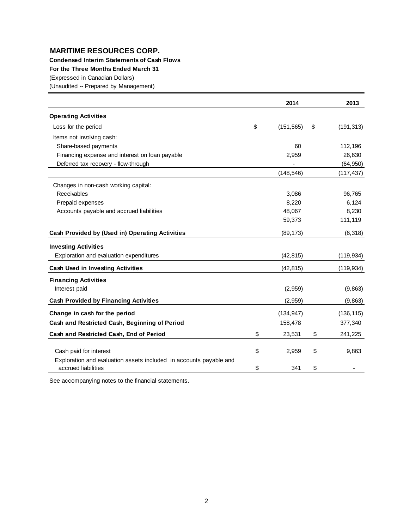**Condensed Interim Statements of Cash Flows**

**For the Three Months Ended March 31**

(Expressed in Canadian Dollars)

(Unaudited -- Prepared by Management)

|                                                                                           | 2014             | 2013             |
|-------------------------------------------------------------------------------------------|------------------|------------------|
| <b>Operating Activities</b>                                                               |                  |                  |
| Loss for the period                                                                       | \$<br>(151, 565) | \$<br>(191, 313) |
| Items not involving cash:                                                                 |                  |                  |
| Share-based payments                                                                      | 60               | 112,196          |
| Financing expense and interest on loan payable                                            | 2,959            | 26,630           |
| Deferred tax recovery - flow-through                                                      |                  | (64, 950)        |
|                                                                                           | (148, 546)       | (117, 437)       |
| Changes in non-cash working capital:                                                      |                  |                  |
| Receivables                                                                               | 3,086            | 96,765           |
| Prepaid expenses                                                                          | 8,220            | 6,124            |
| Accounts payable and accrued liabilities                                                  | 48,067           | 8,230            |
|                                                                                           | 59,373           | 111,119          |
| Cash Provided by (Used in) Operating Activities                                           | (89, 173)        | (6, 318)         |
| <b>Investing Activities</b>                                                               |                  |                  |
| Exploration and evaluation expenditures                                                   | (42, 815)        | (119, 934)       |
| <b>Cash Used in Investing Activities</b>                                                  | (42, 815)        | (119, 934)       |
| <b>Financing Activities</b>                                                               |                  |                  |
| Interest paid                                                                             | (2,959)          | (9,863)          |
| <b>Cash Provided by Financing Activities</b>                                              | (2,959)          | (9, 863)         |
| Change in cash for the period                                                             | (134, 947)       | (136, 115)       |
| Cash and Restricted Cash, Beginning of Period                                             | 158,478          | 377,340          |
| Cash and Restricted Cash, End of Period                                                   | \$<br>23,531     | \$<br>241,225    |
|                                                                                           |                  |                  |
| Cash paid for interest                                                                    | \$<br>2,959      | \$<br>9,863      |
| Exploration and evaluation assets included in accounts payable and<br>accrued liabilities | \$<br>341        | \$               |

See accompanying notes to the financial statements.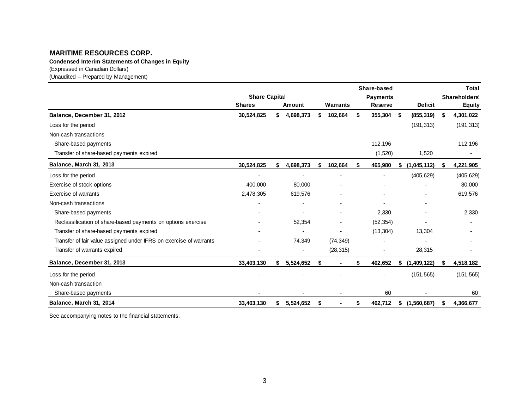**Condensed Interim Statements of Changes in Equity**

(Expressed in Canadian Dollars)

(Unaudited -- Prepared by Management)

|                                                                    |                      |    |           |    |                          | Share-based     |     |                 |   | <b>Total</b>  |
|--------------------------------------------------------------------|----------------------|----|-----------|----|--------------------------|-----------------|-----|-----------------|---|---------------|
|                                                                    | <b>Share Capital</b> |    |           |    |                          | <b>Payments</b> |     |                 |   | Shareholders' |
|                                                                    | <b>Shares</b>        |    | Amount    |    | Warrants                 | <b>Reserve</b>  |     | <b>Deficit</b>  |   | <b>Equity</b> |
| Balance, December 31, 2012                                         | 30,524,825           | \$ | 4,698,373 | \$ | 102,664                  | \$<br>355,304   | -\$ | (855, 319)      | S | 4,301,022     |
| Loss for the period                                                |                      |    |           |    |                          |                 |     | (191, 313)      |   | (191, 313)    |
| Non-cash transactions                                              |                      |    |           |    |                          |                 |     |                 |   |               |
| Share-based payments                                               |                      |    |           |    |                          | 112,196         |     |                 |   | 112,196       |
| Transfer of share-based payments expired                           |                      |    |           |    |                          | (1,520)         |     | 1,520           |   |               |
| Balance, March 31, 2013                                            | 30,524,825           |    | 4,698,373 |    | 102,664                  | \$<br>465,980   |     | (1,045,112)     |   | 4,221,905     |
| Loss for the period                                                | -                    |    |           |    | $\overline{\phantom{a}}$ |                 |     | (405, 629)      |   | (405, 629)    |
| Exercise of stock options                                          | 400,000              |    | 80,000    |    |                          |                 |     |                 |   | 80,000        |
| Exercise of warrants                                               | 2,478,305            |    | 619,576   |    |                          |                 |     |                 |   | 619,576       |
| Non-cash transactions                                              |                      |    |           |    |                          |                 |     |                 |   |               |
| Share-based payments                                               |                      |    |           |    |                          | 2,330           |     |                 |   | 2,330         |
| Reclassification of share-based payments on options exercise       |                      |    | 52,354    |    |                          | (52, 354)       |     |                 |   |               |
| Transfer of share-based payments expired                           |                      |    |           |    |                          | (13, 304)       |     | 13,304          |   |               |
| Transfer of fair value assigned under IFRS on exercise of warrants |                      |    | 74,349    |    | (74, 349)                |                 |     |                 |   |               |
| Transfer of warrants expired                                       |                      |    |           |    | (28, 315)                |                 |     | 28,315          |   |               |
| Balance, December 31, 2013                                         | 33,403,130           | S  | 5,524,652 | S  |                          | \$<br>402,652   |     | (1,409,122)     |   | 4,518,182     |
| Loss for the period                                                |                      |    |           |    |                          |                 |     | (151, 565)      |   | (151, 565)    |
| Non-cash transaction                                               |                      |    |           |    |                          |                 |     |                 |   |               |
| Share-based payments                                               |                      |    |           |    |                          | 60              |     |                 |   | 60            |
| Balance, March 31, 2014                                            | 33,403,130           | S  | 5,524,652 | S  |                          | 402,712         |     | \$(1, 560, 687) |   | 4,366,677     |

See accompanying notes to the financial statements.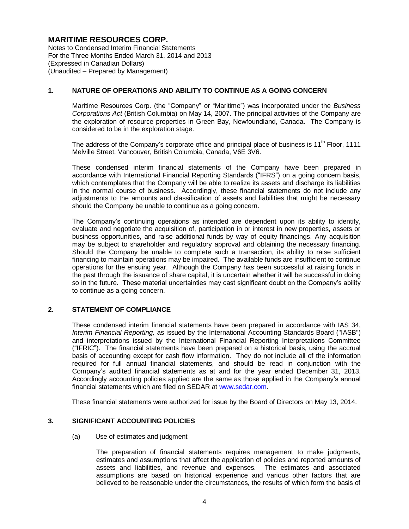Notes to Condensed Interim Financial Statements For the Three Months Ended March 31, 2014 and 2013 (Expressed in Canadian Dollars) (Unaudited – Prepared by Management)

## **1. NATURE OF OPERATIONS AND ABILITY TO CONTINUE AS A GOING CONCERN**

Maritime Resources Corp. (the "Company" or "Maritime") was incorporated under the *Business Corporations Act* (British Columbia) on May 14, 2007. The principal activities of the Company are the exploration of resource properties in Green Bay, Newfoundland, Canada. The Company is considered to be in the exploration stage.

The address of the Company's corporate office and principal place of business is 11<sup>th</sup> Floor, 1111 Melville Street, Vancouver, British Columbia, Canada, V6E 3V6.

These condensed interim financial statements of the Company have been prepared in accordance with International Financial Reporting Standards ("IFRS") on a going concern basis, which contemplates that the Company will be able to realize its assets and discharge its liabilities in the normal course of business. Accordingly, these financial statements do not include any adjustments to the amounts and classification of assets and liabilities that might be necessary should the Company be unable to continue as a going concern.

The Company's continuing operations as intended are dependent upon its ability to identify, evaluate and negotiate the acquisition of, participation in or interest in new properties, assets or business opportunities, and raise additional funds by way of equity financings. Any acquisition may be subject to shareholder and regulatory approval and obtaining the necessary financing. Should the Company be unable to complete such a transaction, its ability to raise sufficient financing to maintain operations may be impaired. The available funds are insufficient to continue operations for the ensuing year. Although the Company has been successful at raising funds in the past through the issuance of share capital, it is uncertain whether it will be successful in doing so in the future. These material uncertainties may cast significant doubt on the Company's ability to continue as a going concern.

## **2. STATEMENT OF COMPLIANCE**

These condensed interim financial statements have been prepared in accordance with IAS 34, *Interim Financial Reporting,* as issued by the International Accounting Standards Board ("IASB") and interpretations issued by the International Financial Reporting Interpretations Committee ("IFRIC"). The financial statements have been prepared on a historical basis, using the accrual basis of accounting except for cash flow information. They do not include all of the information required for full annual financial statements, and should be read in conjunction with the Company's audited financial statements as at and for the year ended December 31, 2013. Accordingly accounting policies applied are the same as those applied in the Company's annual financial statements which are filed on SEDAR at www.sedar.com.

These financial statements were authorized for issue by the Board of Directors on May 13, 2014.

#### **3. SIGNIFICANT ACCOUNTING POLICIES**

#### (a) Use of estimates and judgment

The preparation of financial statements requires management to make judgments, estimates and assumptions that affect the application of policies and reported amounts of assets and liabilities, and revenue and expenses. The estimates and associated assumptions are based on historical experience and various other factors that are believed to be reasonable under the circumstances, the results of which form the basis of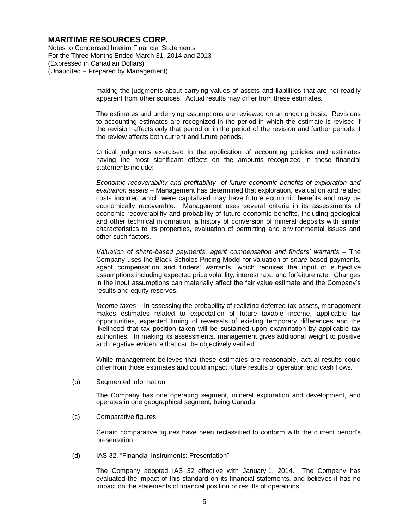Notes to Condensed Interim Financial Statements For the Three Months Ended March 31, 2014 and 2013 (Expressed in Canadian Dollars) (Unaudited – Prepared by Management)

> making the judgments about carrying values of assets and liabilities that are not readily apparent from other sources. Actual results may differ from these estimates.

> The estimates and underlying assumptions are reviewed on an ongoing basis. Revisions to accounting estimates are recognized in the period in which the estimate is revised if the revision affects only that period or in the period of the revision and further periods if the review affects both current and future periods.

> Critical judgments exercised in the application of accounting policies and estimates having the most significant effects on the amounts recognized in these financial statements include:

> *Economic recoverability and profitability of future economic benefits of exploration and evaluation assets* – Management has determined that exploration, evaluation and related costs incurred which were capitalized may have future economic benefits and may be economically recoverable. Management uses several criteria in its assessments of economic recoverability and probability of future economic benefits, including geological and other technical information, a history of conversion of mineral deposits with similar characteristics to its properties, evaluation of permitting and environmental issues and other such factors.

> *Valuation of share-based payments, agent compensation and finders' warrants* – The Company uses the Black-Scholes Pricing Model for valuation of *share*-based payments, agent compensation and finders' warrants, which requires the input of subjective assumptions including expected price volatility, interest rate, and forfeiture rate. Changes in the input assumptions can materially affect the fair value estimate and the Company's results and equity reserves.

> *Income taxes* – In assessing the probability of realizing deferred tax assets, management makes estimates related to expectation of future taxable income, applicable tax opportunities, expected timing of reversals of existing temporary differences and the likelihood that tax position taken will be sustained upon examination by applicable tax authorities. In making its assessments, management gives additional weight to positive and negative evidence that can be objectively verified.

> While management believes that these estimates are reasonable, actual results could differ from those estimates and could impact future results of operation and cash flows.

#### (b) Segmented information

The Company has one operating segment, mineral exploration and development, and operates in one geographical segment, being Canada.

(c) Comparative figures

Certain comparative figures have been reclassified to conform with the current period's presentation.

(d) IAS 32, "Financial Instruments: Presentation"

The Company adopted IAS 32 effective with January 1, 2014. The Company has evaluated the impact of this standard on its financial statements, and believes it has no impact on the statements of financial position or results of operations.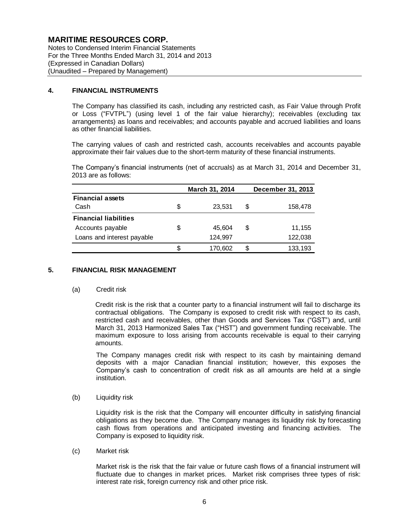Notes to Condensed Interim Financial Statements For the Three Months Ended March 31, 2014 and 2013 (Expressed in Canadian Dollars) (Unaudited – Prepared by Management)

### **4. FINANCIAL INSTRUMENTS**

The Company has classified its cash, including any restricted cash, as Fair Value through Profit or Loss ("FVTPL") (using level 1 of the fair value hierarchy); receivables (excluding tax arrangements) as loans and receivables; and accounts payable and accrued liabilities and loans as other financial liabilities.

The carrying values of cash and restricted cash, accounts receivables and accounts payable approximate their fair values due to the short-term maturity of these financial instruments.

The Company's financial instruments (net of accruals) as at March 31, 2014 and December 31, 2013 are as follows:

|      |                                                                                                                                                                                                                                                                                                                                                                                                        | March 31, 2014 | December 31, 2013 |
|------|--------------------------------------------------------------------------------------------------------------------------------------------------------------------------------------------------------------------------------------------------------------------------------------------------------------------------------------------------------------------------------------------------------|----------------|-------------------|
|      | <b>Financial assets</b>                                                                                                                                                                                                                                                                                                                                                                                |                |                   |
| Cash |                                                                                                                                                                                                                                                                                                                                                                                                        | \$<br>23,531   | \$<br>158,478     |
|      | <b>Financial liabilities</b>                                                                                                                                                                                                                                                                                                                                                                           |                |                   |
|      | Accounts payable                                                                                                                                                                                                                                                                                                                                                                                       | \$<br>45,604   | \$<br>11,155      |
|      | Loans and interest payable                                                                                                                                                                                                                                                                                                                                                                             | 124,997        | 122,038           |
|      |                                                                                                                                                                                                                                                                                                                                                                                                        | \$<br>170,602  | \$<br>133,193     |
|      | <b>FINANCIAL RISK MANAGEMENT</b>                                                                                                                                                                                                                                                                                                                                                                       |                |                   |
| (a)  | Credit risk                                                                                                                                                                                                                                                                                                                                                                                            |                |                   |
|      | Credit risk is the risk that a counter party to a financial instrument will fail t<br>contractual obligations. The Company is exposed to credit risk with respe<br>restricted cash and receivables, other than Goods and Services Tax ("G<br>March 31, 2013 Harmonized Sales Tax ("HST") and government funding r<br>maximum exposure to loss arising from accounts receivable is equal to<br>amounts. |                |                   |
|      | The Company manages credit risk with respect to its cash by mainta<br>deposits with a major Canadian financial institution; however, this<br>Company's cash to concentration of credit risk as all amounts are he<br>institution.                                                                                                                                                                      |                |                   |
| (b)  | Liquidity risk                                                                                                                                                                                                                                                                                                                                                                                         |                |                   |
|      | Liquidity risk is the risk that the Company will encounter difficulty in sati-<br>obligations as they become due. The Company manages its liquidity risk<br>cash flows from operations and anticipated investing and financing a<br>Company is exposed to liquidity risk.                                                                                                                              |                |                   |
| (c)  | Market risk                                                                                                                                                                                                                                                                                                                                                                                            |                |                   |
|      | Market risk is the risk that the fair value or future cash flows of a financial<br>fluctuate due to changes in market prices. Market risk comprises three<br>interest rate risk, foreign currency risk and other price risk.                                                                                                                                                                           |                |                   |

#### **5. FINANCIAL RISK MANAGEMENT**

#### (a) Credit risk

Credit risk is the risk that a counter party to a financial instrument will fail to discharge its contractual obligations. The Company is exposed to credit risk with respect to its cash, restricted cash and receivables, other than Goods and Services Tax ("GST") and, until March 31, 2013 Harmonized Sales Tax ("HST") and government funding receivable. The maximum exposure to loss arising from accounts receivable is equal to their carrying amounts.

The Company manages credit risk with respect to its cash by maintaining demand deposits with a major Canadian financial institution; however, this exposes the Company's cash to concentration of credit risk as all amounts are held at a single institution.

Liquidity risk is the risk that the Company will encounter difficulty in satisfying financial obligations as they become due. The Company manages its liquidity risk by forecasting cash flows from operations and anticipated investing and financing activities. The Company is exposed to liquidity risk.

Market risk is the risk that the fair value or future cash flows of a financial instrument will fluctuate due to changes in market prices. Market risk comprises three types of risk: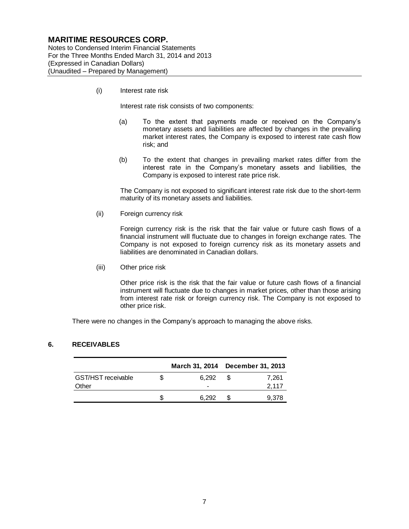Notes to Condensed Interim Financial Statements For the Three Months Ended March 31, 2014 and 2013 (Expressed in Canadian Dollars) (Unaudited – Prepared by Management)

(i) Interest rate risk

Interest rate risk consists of two components:

- (a) To the extent that payments made or received on the Company's monetary assets and liabilities are affected by changes in the prevailing market interest rates, the Company is exposed to interest rate cash flow risk; and
- (b) To the extent that changes in prevailing market rates differ from the interest rate in the Company's monetary assets and liabilities, the Company is exposed to interest rate price risk.

The Company is not exposed to significant interest rate risk due to the short-term maturity of its monetary assets and liabilities.

(ii) Foreign currency risk

Foreign currency risk is the risk that the fair value or future cash flows of a financial instrument will fluctuate due to changes in foreign exchange rates. The Company is not exposed to foreign currency risk as its monetary assets and liabilities are denominated in Canadian dollars.

(iii) Other price risk

Other price risk is the risk that the fair value or future cash flows of a financial instrument will fluctuate due to changes in market prices, other than those arising from interest rate risk or foreign currency risk. The Company is not exposed to other price risk.

There were no changes in the Company's approach to managing the above risks.

#### **6. RECEIVABLES**

|                    | March 31, 2014 December 31, 2013 |       |
|--------------------|----------------------------------|-------|
| GST/HST receivable | 6.292                            | 7.261 |
| Other              |                                  | 2,117 |
|                    | 6.292                            | 9,378 |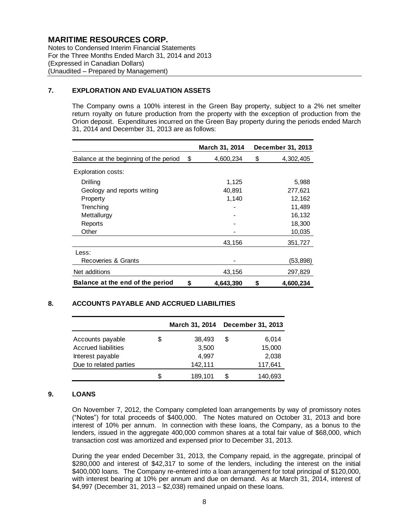Notes to Condensed Interim Financial Statements For the Three Months Ended March 31, 2014 and 2013 (Expressed in Canadian Dollars) (Unaudited – Prepared by Management)

## **7. EXPLORATION AND EVALUATION ASSETS**

The Company owns a 100% interest in the Green Bay property, subject to a 2% net smelter return royalty on future production from the property with the exception of production from the Orion deposit. Expenditures incurred on the Green Bay property during the periods ended March 31, 2014 and December 31, 2013 are as follows:

|                                        | <b>March 31, 2014</b> | December 31, 2013 |
|----------------------------------------|-----------------------|-------------------|
| Balance at the beginning of the period | \$<br>4,600,234       | \$<br>4,302,405   |
| Exploration costs:                     |                       |                   |
| Drilling                               | 1,125                 | 5,988             |
| Geology and reports writing            | 40,891                | 277,621           |
| Property                               | 1,140                 | 12,162            |
| Trenching                              |                       | 11,489            |
| Mettallurgy                            |                       | 16,132            |
| Reports                                |                       | 18,300            |
| Other                                  |                       | 10,035            |
|                                        | 43,156                | 351,727           |
| Less:                                  |                       |                   |
| Recoveries & Grants                    |                       | (53, 898)         |
| Net additions                          | 43,156                | 297,829           |
| Balance at the end of the period       | \$<br>4,643,390       | \$<br>4,600,234   |

## **8. ACCOUNTS PAYABLE AND ACCRUED LIABILITIES**

|                            |    | March 31, 2014 |   | <b>December 31, 2013</b> |
|----------------------------|----|----------------|---|--------------------------|
| Accounts payable           | \$ | 38,493         | S | 6.014                    |
| <b>Accrued liabilities</b> |    | 3,500          |   | 15,000                   |
| Interest payable           |    | 4.997          |   | 2,038                    |
| Due to related parties     |    | 142,111        |   | 117,641                  |
|                            | S  | 189,101        | S | 140,693                  |

#### **9. LOANS**

On November 7, 2012, the Company completed loan arrangements by way of promissory notes ("Notes") for total proceeds of \$400,000. The Notes matured on October 31, 2013 and bore interest of 10% per annum. In connection with these loans, the Company, as a bonus to the lenders, issued in the aggregate 400,000 common shares at a total fair value of \$68,000, which transaction cost was amortized and expensed prior to December 31, 2013.

During the year ended December 31, 2013, the Company repaid, in the aggregate, principal of \$280,000 and interest of \$42,317 to some of the lenders, including the interest on the initial \$400,000 loans. The Company re-entered into a loan arrangement for total principal of \$120,000, with interest bearing at 10% per annum and due on demand. As at March 31, 2014, interest of \$4,997 (December 31, 2013 – \$2,038) remained unpaid on these loans.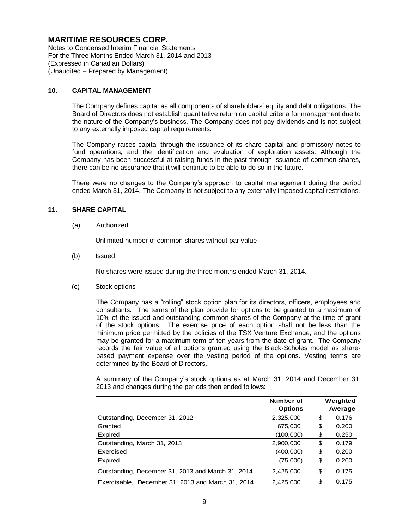Notes to Condensed Interim Financial Statements For the Three Months Ended March 31, 2014 and 2013 (Expressed in Canadian Dollars) (Unaudited – Prepared by Management)

#### **10. CAPITAL MANAGEMENT**

The Company defines capital as all components of shareholders' equity and debt obligations. The Board of Directors does not establish quantitative return on capital criteria for management due to the nature of the Company's business. The Company does not pay dividends and is not subject to any externally imposed capital requirements.

The Company raises capital through the issuance of its share capital and promissory notes to fund operations, and the identification and evaluation of exploration assets. Although the Company has been successful at raising funds in the past through issuance of common shares, there can be no assurance that it will continue to be able to do so in the future.

There were no changes to the Company's approach to capital management during the period ended March 31, 2014. The Company is not subject to any externally imposed capital restrictions.

## **11. SHARE CAPITAL**

(a) Authorized

Unlimited number of common shares without par value

(b) Issued

No shares were issued during the three months ended March 31, 2014.

(c) Stock options

The Company has a "rolling" stock option plan for its directors, officers, employees and consultants. The terms of the plan provide for options to be granted to a maximum of 10% of the issued and outstanding common shares of the Company at the time of grant of the stock options. The exercise price of each option shall not be less than the minimum price permitted by the policies of the TSX Venture Exchange, and the options may be granted for a maximum term of ten years from the date of grant. The Company records the fair value of all options granted using the Black-Scholes model as sharebased payment expense over the vesting period of the options. Vesting terms are determined by the Board of Directors.

A summary of the Company's stock options as at March 31, 2014 and December 31, 2013 and changes during the periods then ended follows:

|                                                   | Number of<br><b>Options</b> | Weighted<br>Average |
|---------------------------------------------------|-----------------------------|---------------------|
| Outstanding, December 31, 2012                    | 2,325,000                   | \$<br>0.176         |
| Granted                                           | 675,000                     | \$<br>0.200         |
| Expired                                           | (100,000)                   | \$<br>0.250         |
| Outstanding, March 31, 2013                       | 2,900,000                   | \$<br>0.179         |
| Exercised                                         | (400,000)                   | \$<br>0.200         |
| Expired                                           | (75,000)                    | \$<br>0.200         |
| Outstanding, December 31, 2013 and March 31, 2014 | 2,425,000                   | \$<br>0.175         |
| Exercisable, December 31, 2013 and March 31, 2014 | 2,425,000                   | \$<br>0.175         |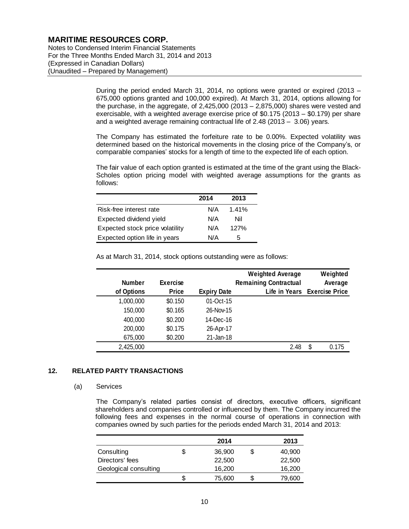Notes to Condensed Interim Financial Statements For the Three Months Ended March 31, 2014 and 2013 (Expressed in Canadian Dollars) (Unaudited – Prepared by Management)

> During the period ended March 31, 2014, no options were granted or expired (2013 – 675,000 options granted and 100,000 expired). At March 31, 2014, options allowing for the purchase, in the aggregate, of 2,425,000 (2013 – 2,875,000) shares were vested and exercisable, with a weighted average exercise price of \$0.175 (2013 – \$0.179) per share and a weighted average remaining contractual life of 2.48 (2013 – 3.06) years.

> The Company has estimated the forfeiture rate to be 0.00%. Expected volatility was determined based on the historical movements in the closing price of the Company's, or comparable companies' stocks for a length of time to the expected life of each option.

> The fair value of each option granted is estimated at the time of the grant using the Black-Scholes option pricing model with weighted average assumptions for the grants as follows:

|                                 | 2014 | 2013  |
|---------------------------------|------|-------|
| Risk-free interest rate         | N/A  | 1.41% |
| Expected dividend yield         | N/A  | Nil   |
| Expected stock price volatility | N/A  | 127%  |
| Expected option life in years   | N/A  | ٠h    |

| Weighted<br>Average          |      | <b>Weighted Average</b><br><b>Remaining Contractual</b> |                    | <b>Exercise</b> | <b>Number</b> |  |
|------------------------------|------|---------------------------------------------------------|--------------------|-----------------|---------------|--|
| Life in Years Exercise Price |      |                                                         | <b>Expiry Date</b> | <b>Price</b>    | of Options    |  |
|                              |      |                                                         | 01-Oct-15          | \$0.150         | 1,000,000     |  |
|                              |      |                                                         | 26-Nov-15          | \$0.165         | 150,000       |  |
|                              |      |                                                         | 14-Dec-16          | \$0.200         | 400,000       |  |
|                              |      |                                                         | 26-Apr-17          | \$0.175         | 200,000       |  |
|                              |      |                                                         | $21$ -Jan-18       | \$0.200         | 675,000       |  |
| \$<br>0.175                  | 2.48 |                                                         |                    |                 | 2,425,000     |  |

As at March 31, 2014, stock options outstanding were as follows:

## **12. RELATED PARTY TRANSACTIONS**

#### (a) Services

The Company's related parties consist of directors, executive officers, significant shareholders and companies controlled or influenced by them. The Company incurred the following fees and expenses in the normal course of operations in connection with companies owned by such parties for the periods ended March 31, 2014 and 2013:

|                       | 2014   | 2013   |
|-----------------------|--------|--------|
| Consulting            | 36,900 | 40,900 |
| Directors' fees       | 22,500 | 22,500 |
| Geological consulting | 16,200 | 16,200 |
|                       | 75,600 | 79.600 |